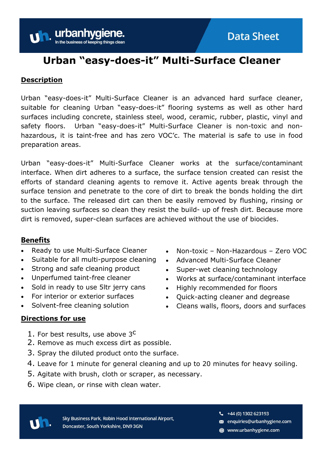# **Urban "easy-does-it" Multi-Surface Cleaner**

### **Description**

**Uh.** urbanhyg

Urban "easy-does-it" Multi-Surface Cleaner is an advanced hard surface cleaner, suitable for cleaning Urban "easy-does-it" flooring systems as well as other hard surfaces including concrete, stainless steel, wood, ceramic, rubber, plastic, vinyl and safety floors. Urban "easy-does-it" Multi-Surface Cleaner is non-toxic and nonhazardous, it is taint-free and has zero VOC'c. The material is safe to use in food preparation areas.

Urban "easy-does-it" Multi-Surface Cleaner works at the surface/contaminant interface. When dirt adheres to a surface, the surface tension created can resist the efforts of standard cleaning agents to remove it. Active agents break through the surface tension and penetrate to the core of dirt to break the bonds holding the dirt to the surface. The released dirt can then be easily removed by flushing, rinsing or suction leaving surfaces so clean they resist the build- up of fresh dirt. Because more dirt is removed, super-clean surfaces are achieved without the use of biocides.

## **Benefits**

- Ready to use Multi-Surface Cleaner
- Suitable for all multi-purpose cleaning
- Strong and safe cleaning product
- Unperfumed taint-free cleaner
- Sold in ready to use 5ltr jerry cans
- For interior or exterior surfaces
- Solvent-free cleaning solution

- Non-toxic Non-Hazardous Zero VOC
- Advanced Multi-Surface Cleaner
- Super-wet cleaning technology
- Works at surface/contaminant interface
- Highly recommended for floors
- Quick-acting cleaner and degrease
- Cleans walls, floors, doors and surfaces

### **Directions for use**

- 1. For best results, use above 3<sup>C</sup>
- 2. Remove as much excess dirt as possible.
- 3. Spray the diluted product onto the surface.
- 4. Leave for 1 minute for general cleaning and up to 20 minutes for heavy soiling.
- 5. Agitate with brush, cloth or scraper, as necessary.
- 6. Wipe clean, or rinse with clean water.



Sky Business Park, Robin Hood International Airport, Doncaster, South Yorkshire, DN9 3GN

 $\frac{1}{2}$  +44 (0) 1302 623193

- enquiries@urbanhygiene.com
- www.urbanhygiene.com